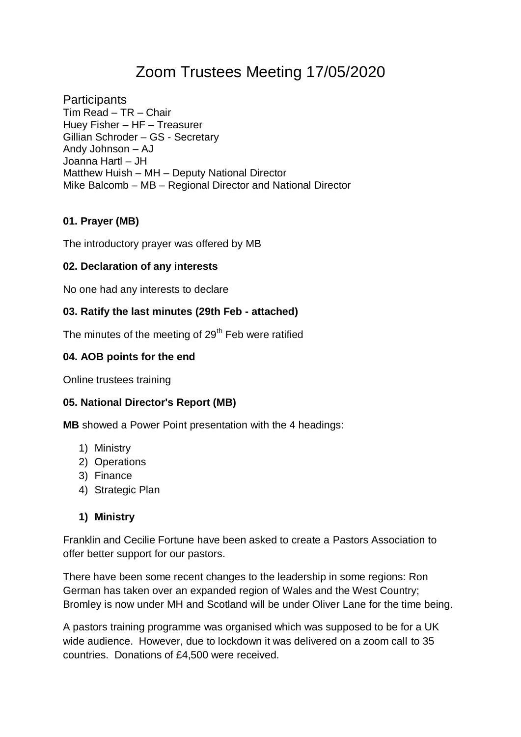# Zoom Trustees Meeting 17/05/2020

**Participants** Tim Read – TR – Chair Huey Fisher – HF – Treasurer Gillian Schroder – GS - Secretary Andy Johnson – AJ Joanna Hartl – JH Matthew Huish – MH – Deputy National Director Mike Balcomb – MB – Regional Director and National Director

# **01. Prayer (MB)**

The introductory prayer was offered by MB

#### **02. Declaration of any interests**

No one had any interests to declare

#### **03. Ratify the last minutes (29th Feb - attached)**

The minutes of the meeting of 29<sup>th</sup> Feb were ratified

#### **04. AOB points for the end**

Online trustees training

#### **05. National Director's Report (MB)**

**MB** showed a Power Point presentation with the 4 headings:

- 1) Ministry
- 2) Operations
- 3) Finance
- 4) Strategic Plan

#### **1) Ministry**

Franklin and Cecilie Fortune have been asked to create a Pastors Association to offer better support for our pastors.

There have been some recent changes to the leadership in some regions: Ron German has taken over an expanded region of Wales and the West Country; Bromley is now under MH and Scotland will be under Oliver Lane for the time being.

A pastors training programme was organised which was supposed to be for a UK wide audience. However, due to lockdown it was delivered on a zoom call to 35 countries. Donations of £4,500 were received.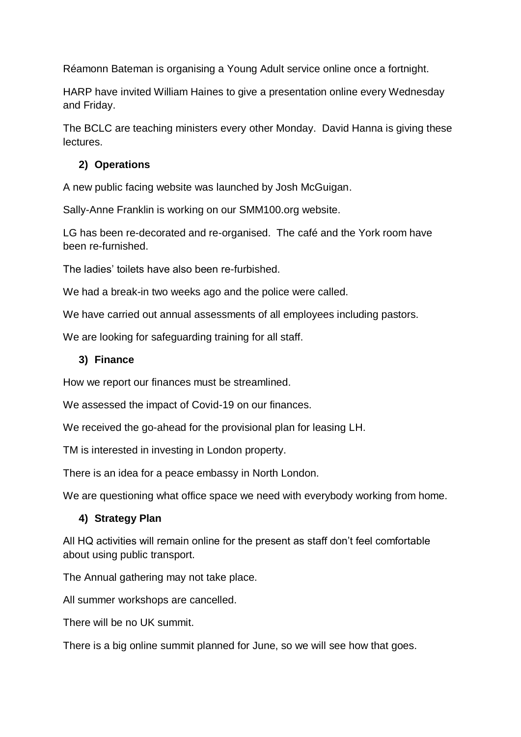Réamonn Bateman is organising a Young Adult service online once a fortnight.

HARP have invited William Haines to give a presentation online every Wednesday and Friday.

The BCLC are teaching ministers every other Monday. David Hanna is giving these lectures.

#### **2) Operations**

A new public facing website was launched by Josh McGuigan.

Sally-Anne Franklin is working on our SMM100.org website.

LG has been re-decorated and re-organised. The café and the York room have been re-furnished.

The ladies' toilets have also been re-furbished.

We had a break-in two weeks ago and the police were called.

We have carried out annual assessments of all employees including pastors.

We are looking for safeguarding training for all staff.

#### **3) Finance**

How we report our finances must be streamlined.

We assessed the impact of Covid-19 on our finances.

We received the go-ahead for the provisional plan for leasing LH.

TM is interested in investing in London property.

There is an idea for a peace embassy in North London.

We are questioning what office space we need with everybody working from home.

# **4) Strategy Plan**

All HQ activities will remain online for the present as staff don't feel comfortable about using public transport.

The Annual gathering may not take place.

All summer workshops are cancelled.

There will be no UK summit.

There is a big online summit planned for June, so we will see how that goes.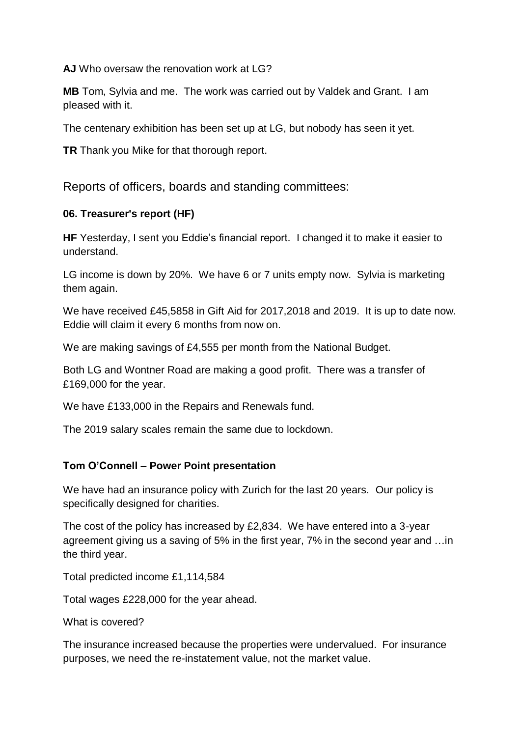**AJ** Who oversaw the renovation work at LG?

**MB** Tom, Sylvia and me. The work was carried out by Valdek and Grant. I am pleased with it.

The centenary exhibition has been set up at LG, but nobody has seen it yet.

**TR** Thank you Mike for that thorough report.

Reports of officers, boards and standing committees:

#### **06. Treasurer's report (HF)**

**HF** Yesterday, I sent you Eddie's financial report. I changed it to make it easier to understand.

LG income is down by 20%. We have 6 or 7 units empty now. Sylvia is marketing them again.

We have received £45,5858 in Gift Aid for 2017,2018 and 2019. It is up to date now. Eddie will claim it every 6 months from now on.

We are making savings of £4,555 per month from the National Budget.

Both LG and Wontner Road are making a good profit. There was a transfer of £169,000 for the year.

We have £133,000 in the Repairs and Renewals fund.

The 2019 salary scales remain the same due to lockdown.

# **Tom O'Connell – Power Point presentation**

We have had an insurance policy with Zurich for the last 20 years. Our policy is specifically designed for charities.

The cost of the policy has increased by £2,834. We have entered into a 3-year agreement giving us a saving of 5% in the first year, 7% in the second year and …in the third year.

Total predicted income £1,114,584

Total wages £228,000 for the year ahead.

What is covered?

The insurance increased because the properties were undervalued. For insurance purposes, we need the re-instatement value, not the market value.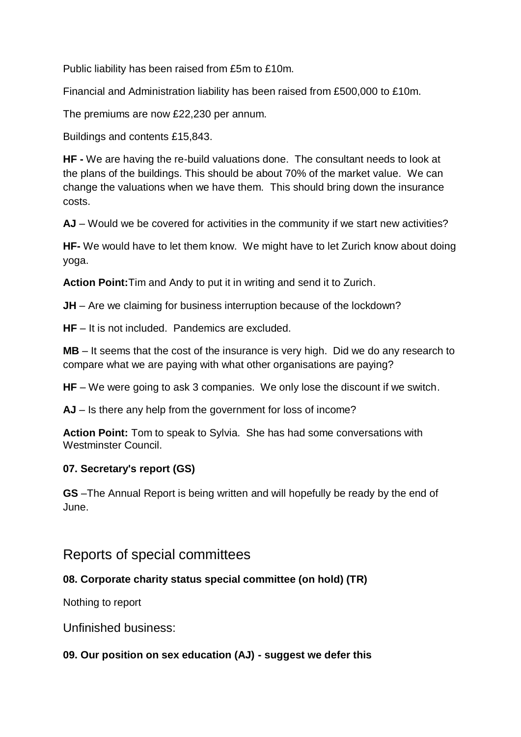Public liability has been raised from £5m to £10m.

Financial and Administration liability has been raised from £500,000 to £10m.

The premiums are now £22,230 per annum.

Buildings and contents £15,843.

**HF -** We are having the re-build valuations done. The consultant needs to look at the plans of the buildings. This should be about 70% of the market value. We can change the valuations when we have them. This should bring down the insurance costs.

**AJ** – Would we be covered for activities in the community if we start new activities?

**HF-** We would have to let them know. We might have to let Zurich know about doing yoga.

**Action Point:**Tim and Andy to put it in writing and send it to Zurich.

**JH** – Are we claiming for business interruption because of the lockdown?

**HF** – It is not included. Pandemics are excluded.

**MB** – It seems that the cost of the insurance is very high. Did we do any research to compare what we are paying with what other organisations are paying?

**HF** – We were going to ask 3 companies. We only lose the discount if we switch.

**AJ** – Is there any help from the government for loss of income?

**Action Point:** Tom to speak to Sylvia. She has had some conversations with Westminster Council.

# **07. Secretary's report (GS)**

**GS** –The Annual Report is being written and will hopefully be ready by the end of June.

# Reports of special committees

# **08. Corporate charity status special committee (on hold) (TR)**

Nothing to report

Unfinished business:

# **09. Our position on sex education (AJ) - suggest we defer this**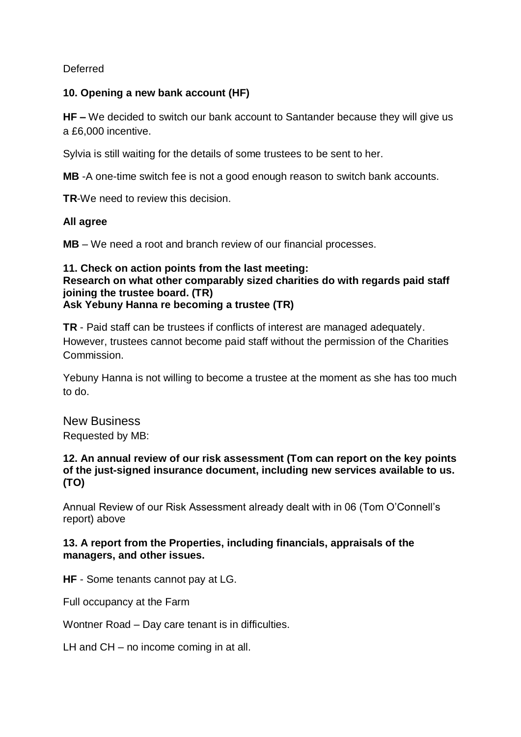Deferred

#### **10. Opening a new bank account (HF)**

**HF –** We decided to switch our bank account to Santander because they will give us a £6,000 incentive.

Sylvia is still waiting for the details of some trustees to be sent to her.

**MB** -A one-time switch fee is not a good enough reason to switch bank accounts.

**TR**-We need to review this decision.

#### **All agree**

**MB** – We need a root and branch review of our financial processes.

#### **11. Check on action points from the last meeting: Research on what other comparably sized charities do with regards paid staff joining the trustee board. (TR) Ask Yebuny Hanna re becoming a trustee (TR)**

**TR** - Paid staff can be trustees if conflicts of interest are managed adequately. However, trustees cannot become paid staff without the permission of the Charities Commission.

Yebuny Hanna is not willing to become a trustee at the moment as she has too much to do.

New Business Requested by MB:

#### **12. An annual review of our risk assessment (Tom can report on the key points of the just-signed insurance document, including new services available to us. (TO)**

Annual Review of our Risk Assessment already dealt with in 06 (Tom O'Connell's report) above

#### **13. A report from the Properties, including financials, appraisals of the managers, and other issues.**

**HF** - Some tenants cannot pay at LG.

Full occupancy at the Farm

Wontner Road – Day care tenant is in difficulties.

LH and CH – no income coming in at all.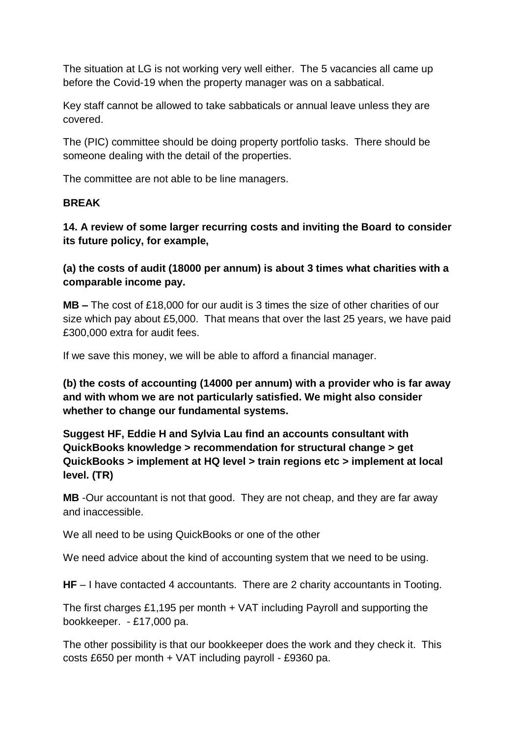The situation at LG is not working very well either. The 5 vacancies all came up before the Covid-19 when the property manager was on a sabbatical.

Key staff cannot be allowed to take sabbaticals or annual leave unless they are covered.

The (PIC) committee should be doing property portfolio tasks. There should be someone dealing with the detail of the properties.

The committee are not able to be line managers.

#### **BREAK**

**14. A review of some larger recurring costs and inviting the Board to consider its future policy, for example,**

**(a) the costs of audit (18000 per annum) is about 3 times what charities with a comparable income pay.**

**MB –** The cost of £18,000 for our audit is 3 times the size of other charities of our size which pay about £5,000. That means that over the last 25 years, we have paid £300,000 extra for audit fees.

If we save this money, we will be able to afford a financial manager.

**(b) the costs of accounting (14000 per annum) with a provider who is far away and with whom we are not particularly satisfied. We might also consider whether to change our fundamental systems.**

**Suggest HF, Eddie H and Sylvia Lau find an accounts consultant with QuickBooks knowledge > recommendation for structural change > get QuickBooks > implement at HQ level > train regions etc > implement at local level. (TR)**

**MB** -Our accountant is not that good. They are not cheap, and they are far away and inaccessible.

We all need to be using QuickBooks or one of the other

We need advice about the kind of accounting system that we need to be using.

**HF** – I have contacted 4 accountants. There are 2 charity accountants in Tooting.

The first charges £1,195 per month + VAT including Payroll and supporting the bookkeeper. - £17,000 pa.

The other possibility is that our bookkeeper does the work and they check it. This costs £650 per month + VAT including payroll - £9360 pa.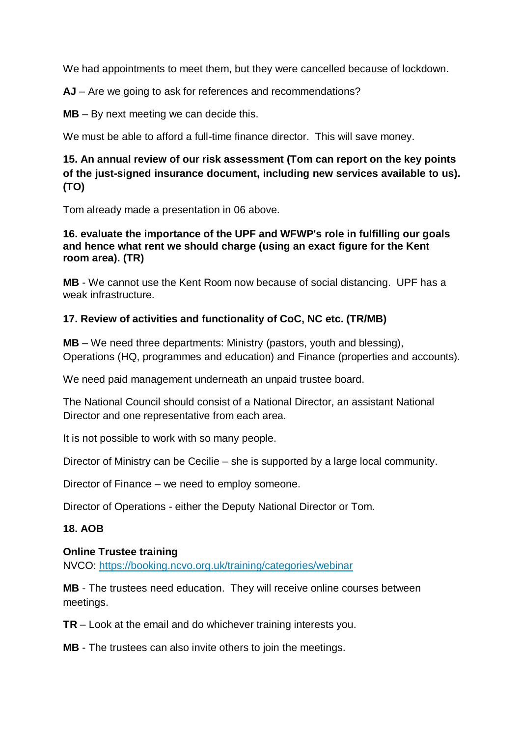We had appointments to meet them, but they were cancelled because of lockdown.

**AJ** – Are we going to ask for references and recommendations?

**MB** – By next meeting we can decide this.

We must be able to afford a full-time finance director. This will save money.

# **15. An annual review of our risk assessment (Tom can report on the key points of the just-signed insurance document, including new services available to us). (TO)**

Tom already made a presentation in 06 above.

#### **16. evaluate the importance of the UPF and WFWP's role in fulfilling our goals and hence what rent we should charge (using an exact figure for the Kent room area). (TR)**

**MB** - We cannot use the Kent Room now because of social distancing. UPF has a weak infrastructure.

# **17. Review of activities and functionality of CoC, NC etc. (TR/MB)**

**MB** – We need three departments: Ministry (pastors, youth and blessing), Operations (HQ, programmes and education) and Finance (properties and accounts).

We need paid management underneath an unpaid trustee board.

The National Council should consist of a National Director, an assistant National Director and one representative from each area.

It is not possible to work with so many people.

Director of Ministry can be Cecilie – she is supported by a large local community.

Director of Finance – we need to employ someone.

Director of Operations - either the Deputy National Director or Tom.

# **18. AOB**

#### **Online Trustee training**

NVCO: <https://booking.ncvo.org.uk/training/categories/webinar>

**MB** - The trustees need education. They will receive online courses between meetings.

**TR** – Look at the email and do whichever training interests you.

**MB** - The trustees can also invite others to join the meetings.